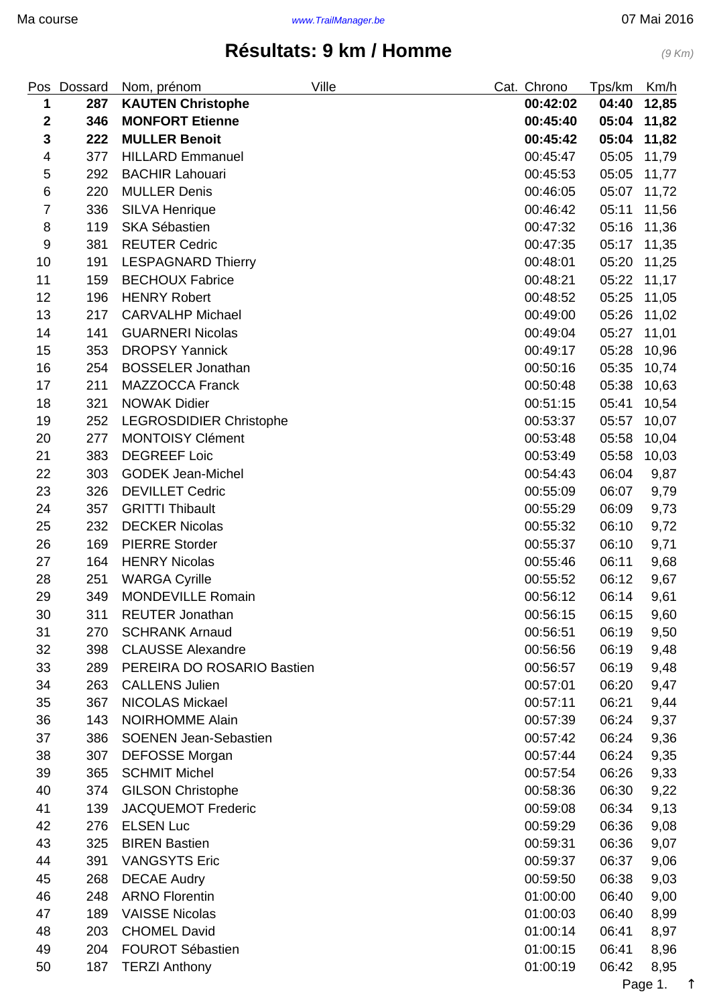<span id="page-0-0"></span>

| Pos              | Dossard | Ville<br>Nom, prénom           | Cat. Chrono | Tps/km | Km/h  |
|------------------|---------|--------------------------------|-------------|--------|-------|
| 1                | 287     | <b>KAUTEN Christophe</b>       | 00:42:02    | 04:40  | 12,85 |
| $\mathbf 2$      | 346     | <b>MONFORT Etienne</b>         | 00:45:40    | 05:04  | 11,82 |
| 3                | 222     | <b>MULLER Benoit</b>           | 00:45:42    | 05:04  | 11,82 |
| 4                | 377     | <b>HILLARD Emmanuel</b>        | 00:45:47    | 05:05  | 11,79 |
| 5                | 292     | <b>BACHIR Lahouari</b>         | 00:45:53    | 05:05  | 11,77 |
| $\,6$            | 220     | <b>MULLER Denis</b>            | 00:46:05    | 05:07  | 11,72 |
| $\overline{7}$   | 336     | <b>SILVA Henrique</b>          | 00:46:42    | 05:11  | 11,56 |
| 8                | 119     | <b>SKA Sébastien</b>           | 00:47:32    | 05:16  | 11,36 |
| $\boldsymbol{9}$ | 381     | <b>REUTER Cedric</b>           | 00:47:35    | 05:17  | 11,35 |
| 10               | 191     | <b>LESPAGNARD Thierry</b>      | 00:48:01    | 05:20  | 11,25 |
| 11               | 159     | <b>BECHOUX Fabrice</b>         | 00:48:21    | 05:22  | 11,17 |
| 12               | 196     | <b>HENRY Robert</b>            | 00:48:52    | 05:25  | 11,05 |
| 13               | 217     | <b>CARVALHP Michael</b>        | 00:49:00    | 05:26  | 11,02 |
| 14               | 141     | <b>GUARNERI Nicolas</b>        | 00:49:04    | 05:27  | 11,01 |
| 15               | 353     | <b>DROPSY Yannick</b>          | 00:49:17    | 05:28  | 10,96 |
| 16               | 254     | <b>BOSSELER Jonathan</b>       | 00:50:16    | 05:35  | 10,74 |
| 17               | 211     | <b>MAZZOCCA Franck</b>         | 00:50:48    | 05:38  | 10,63 |
| 18               | 321     | <b>NOWAK Didier</b>            | 00:51:15    | 05:41  | 10,54 |
| 19               | 252     | <b>LEGROSDIDIER Christophe</b> | 00:53:37    | 05:57  | 10,07 |
| 20               | 277     | <b>MONTOISY Clément</b>        | 00:53:48    | 05:58  | 10,04 |
| 21               | 383     | <b>DEGREEF Loic</b>            | 00:53:49    | 05:58  | 10,03 |
| 22               | 303     | <b>GODEK Jean-Michel</b>       | 00:54:43    | 06:04  | 9,87  |
| 23               | 326     | <b>DEVILLET Cedric</b>         | 00:55:09    | 06:07  | 9,79  |
| 24               | 357     | <b>GRITTI Thibault</b>         | 00:55:29    | 06:09  | 9,73  |
| 25               | 232     | <b>DECKER Nicolas</b>          | 00:55:32    | 06:10  | 9,72  |
| 26               | 169     | <b>PIERRE Storder</b>          | 00:55:37    | 06:10  | 9,71  |
| 27               | 164     | <b>HENRY Nicolas</b>           | 00:55:46    | 06:11  | 9,68  |
| 28               | 251     | <b>WARGA Cyrille</b>           | 00:55:52    | 06:12  | 9,67  |
| 29               | 349     | <b>MONDEVILLE Romain</b>       | 00:56:12    | 06:14  | 9,61  |
| 30               | 311     | <b>REUTER Jonathan</b>         | 00:56:15    | 06:15  | 9,60  |
| 31               | 270     | <b>SCHRANK Arnaud</b>          | 00:56:51    | 06:19  | 9,50  |
| 32               | 398     | <b>CLAUSSE Alexandre</b>       | 00:56:56    | 06:19  | 9,48  |
| 33               | 289     | PEREIRA DO ROSARIO Bastien     | 00:56:57    | 06:19  | 9,48  |
| 34               | 263     | <b>CALLENS Julien</b>          | 00:57:01    | 06:20  | 9,47  |
| 35               | 367     | <b>NICOLAS Mickael</b>         | 00:57:11    | 06:21  | 9,44  |
| 36               | 143     | <b>NOIRHOMME Alain</b>         | 00:57:39    | 06:24  | 9,37  |
| 37               | 386     | <b>SOENEN Jean-Sebastien</b>   | 00:57:42    | 06:24  | 9,36  |
| 38               | 307     | <b>DEFOSSE Morgan</b>          | 00:57:44    | 06:24  | 9,35  |
| 39               | 365     | <b>SCHMIT Michel</b>           | 00:57:54    | 06:26  | 9,33  |
| 40               | 374     | <b>GILSON Christophe</b>       | 00:58:36    | 06:30  | 9,22  |
| 41               | 139     | <b>JACQUEMOT Frederic</b>      | 00:59:08    | 06:34  | 9,13  |
| 42               | 276     | <b>ELSEN Luc</b>               | 00:59:29    | 06:36  | 9,08  |
| 43               | 325     | <b>BIREN Bastien</b>           | 00:59:31    | 06:36  | 9,07  |
| 44               | 391     | <b>VANGSYTS Eric</b>           | 00:59:37    | 06:37  | 9,06  |
| 45               | 268     | <b>DECAE Audry</b>             | 00:59:50    | 06:38  | 9,03  |
| 46               | 248     | <b>ARNO Florentin</b>          | 01:00:00    | 06:40  | 9,00  |
| 47               | 189     | <b>VAISSE Nicolas</b>          | 01:00:03    | 06:40  | 8,99  |
| 48               | 203     | <b>CHOMEL David</b>            | 01:00:14    | 06:41  | 8,97  |
| 49               | 204     | <b>FOUROT Sébastien</b>        | 01:00:15    | 06:41  | 8,96  |
| 50               | 187     | <b>TERZI Anthony</b>           | 01:00:19    | 06:42  | 8,95  |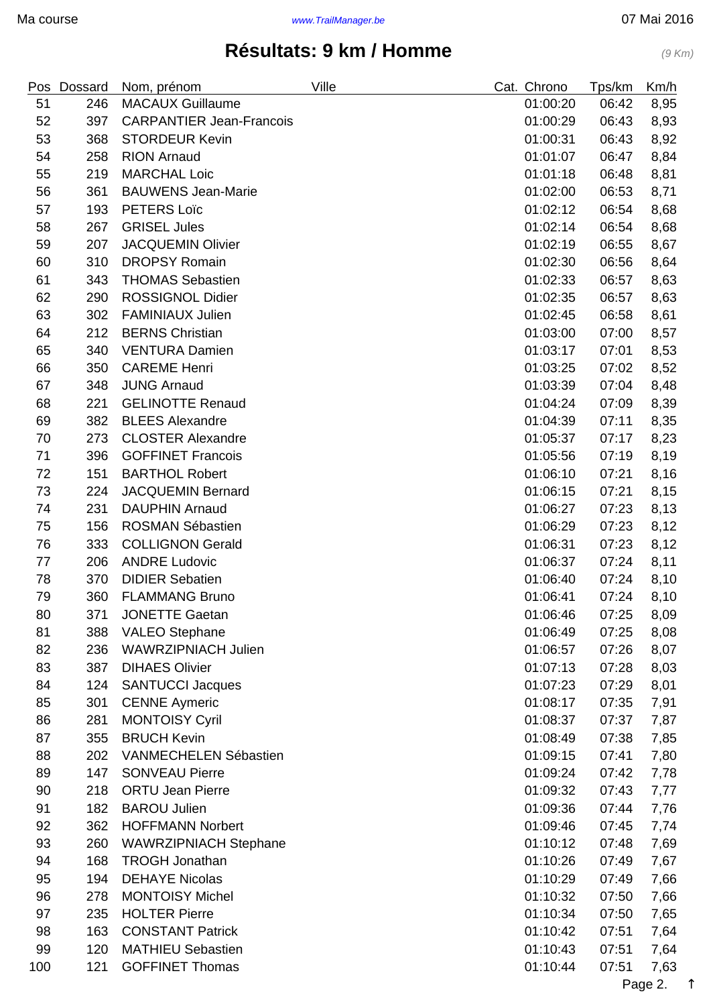|     | Pos Dossard | Nom, prénom                     | Ville | Cat. Chrono | Tps/km | Km/h |
|-----|-------------|---------------------------------|-------|-------------|--------|------|
| 51  | 246         | <b>MACAUX Guillaume</b>         |       | 01:00:20    | 06:42  | 8,95 |
| 52  | 397         | <b>CARPANTIER Jean-Francois</b> |       | 01:00:29    | 06:43  | 8,93 |
| 53  | 368         | <b>STORDEUR Kevin</b>           |       | 01:00:31    | 06:43  | 8,92 |
| 54  | 258         | <b>RION Arnaud</b>              |       | 01:01:07    | 06:47  | 8,84 |
| 55  | 219         | <b>MARCHAL Loic</b>             |       | 01:01:18    | 06:48  | 8,81 |
| 56  | 361         | <b>BAUWENS Jean-Marie</b>       |       | 01:02:00    | 06:53  | 8,71 |
| 57  | 193         | <b>PETERS Loïc</b>              |       | 01:02:12    | 06:54  | 8,68 |
| 58  | 267         | <b>GRISEL Jules</b>             |       | 01:02:14    | 06:54  | 8,68 |
| 59  | 207         | <b>JACQUEMIN Olivier</b>        |       | 01:02:19    | 06:55  | 8,67 |
| 60  | 310         | <b>DROPSY Romain</b>            |       | 01:02:30    | 06:56  | 8,64 |
| 61  | 343         | <b>THOMAS Sebastien</b>         |       | 01:02:33    | 06:57  | 8,63 |
| 62  | 290         | <b>ROSSIGNOL Didier</b>         |       | 01:02:35    | 06:57  | 8,63 |
| 63  | 302         | <b>FAMINIAUX Julien</b>         |       | 01:02:45    | 06:58  | 8,61 |
| 64  | 212         | <b>BERNS Christian</b>          |       | 01:03:00    | 07:00  | 8,57 |
| 65  | 340         | <b>VENTURA Damien</b>           |       | 01:03:17    | 07:01  | 8,53 |
| 66  | 350         | <b>CAREME Henri</b>             |       | 01:03:25    | 07:02  | 8,52 |
| 67  | 348         | <b>JUNG Arnaud</b>              |       | 01:03:39    | 07:04  | 8,48 |
| 68  | 221         | <b>GELINOTTE Renaud</b>         |       | 01:04:24    | 07:09  | 8,39 |
| 69  | 382         | <b>BLEES Alexandre</b>          |       | 01:04:39    | 07:11  | 8,35 |
| 70  | 273         | <b>CLOSTER Alexandre</b>        |       | 01:05:37    | 07:17  | 8,23 |
| 71  | 396         | <b>GOFFINET Francois</b>        |       | 01:05:56    | 07:19  | 8,19 |
| 72  | 151         | <b>BARTHOL Robert</b>           |       | 01:06:10    | 07:21  | 8,16 |
| 73  | 224         | <b>JACQUEMIN Bernard</b>        |       | 01:06:15    | 07:21  | 8,15 |
| 74  | 231         | <b>DAUPHIN Arnaud</b>           |       | 01:06:27    | 07:23  | 8,13 |
| 75  | 156         | <b>ROSMAN Sébastien</b>         |       | 01:06:29    | 07:23  | 8,12 |
| 76  | 333         | <b>COLLIGNON Gerald</b>         |       | 01:06:31    | 07:23  | 8,12 |
| 77  | 206         | <b>ANDRE Ludovic</b>            |       | 01:06:37    | 07:24  | 8,11 |
| 78  | 370         | <b>DIDIER Sebatien</b>          |       | 01:06:40    | 07:24  | 8,10 |
| 79  | 360         | <b>FLAMMANG Bruno</b>           |       | 01:06:41    | 07:24  | 8,10 |
| 80  | 371         | <b>JONETTE Gaetan</b>           |       | 01:06:46    | 07:25  | 8,09 |
| 81  | 388         | <b>VALEO Stephane</b>           |       | 01:06:49    | 07:25  | 8,08 |
| 82  | 236         | <b>WAWRZIPNIACH Julien</b>      |       | 01:06:57    | 07:26  | 8,07 |
| 83  | 387         | <b>DIHAES Olivier</b>           |       | 01:07:13    | 07:28  | 8,03 |
| 84  | 124         | <b>SANTUCCI Jacques</b>         |       | 01:07:23    | 07:29  | 8,01 |
| 85  | 301         | <b>CENNE Aymeric</b>            |       | 01:08:17    | 07:35  | 7,91 |
| 86  | 281         | <b>MONTOISY Cyril</b>           |       | 01:08:37    | 07:37  | 7,87 |
| 87  | 355         | <b>BRUCH Kevin</b>              |       | 01:08:49    | 07:38  | 7,85 |
| 88  | 202         | <b>VANMECHELEN Sébastien</b>    |       | 01:09:15    | 07:41  | 7,80 |
| 89  | 147         | <b>SONVEAU Pierre</b>           |       | 01:09:24    | 07:42  | 7,78 |
| 90  | 218         | <b>ORTU Jean Pierre</b>         |       | 01:09:32    | 07:43  | 7,77 |
| 91  | 182         | <b>BAROU Julien</b>             |       | 01:09:36    | 07:44  | 7,76 |
| 92  | 362         | <b>HOFFMANN Norbert</b>         |       | 01:09:46    | 07:45  | 7,74 |
| 93  | 260         | WAWRZIPNIACH Stephane           |       | 01:10:12    | 07:48  | 7,69 |
| 94  | 168         | <b>TROGH Jonathan</b>           |       | 01:10:26    | 07:49  | 7,67 |
| 95  | 194         | <b>DEHAYE Nicolas</b>           |       | 01:10:29    | 07:49  | 7,66 |
| 96  | 278         | <b>MONTOISY Michel</b>          |       | 01:10:32    | 07:50  | 7,66 |
| 97  | 235         | <b>HOLTER Pierre</b>            |       | 01:10:34    | 07:50  | 7,65 |
| 98  | 163         | <b>CONSTANT Patrick</b>         |       | 01:10:42    | 07:51  | 7,64 |
| 99  | 120         | <b>MATHIEU Sebastien</b>        |       | 01:10:43    | 07:51  | 7,64 |
| 100 | 121         | <b>GOFFINET Thomas</b>          |       | 01:10:44    | 07:51  | 7,63 |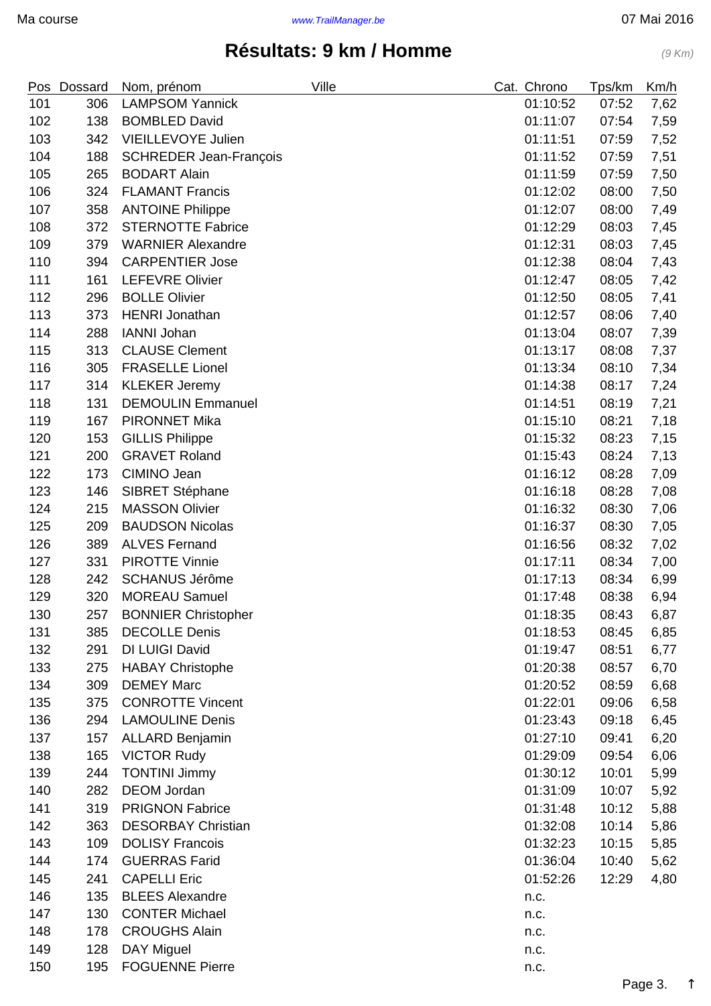|     | Pos Dossard | Nom, prénom                   | Ville | Cat. Chrono  | Tps/km | Km/h |
|-----|-------------|-------------------------------|-------|--------------|--------|------|
| 101 | 306         | <b>LAMPSOM Yannick</b>        |       | 01:10:52     | 07:52  | 7,62 |
| 102 | 138         | <b>BOMBLED David</b>          |       | 01:11:07     | 07:54  | 7,59 |
| 103 | 342         | VIEILLEVOYE Julien            |       | 01:11:51     | 07:59  | 7,52 |
| 104 | 188         | <b>SCHREDER Jean-François</b> |       | 01:11:52     | 07:59  | 7,51 |
| 105 | 265         | <b>BODART Alain</b>           |       | 01:11:59     | 07:59  | 7,50 |
| 106 | 324         | <b>FLAMANT Francis</b>        |       | 01:12:02     | 08:00  | 7,50 |
| 107 | 358         | <b>ANTOINE Philippe</b>       |       | 01:12:07     | 08:00  | 7,49 |
| 108 | 372         | <b>STERNOTTE Fabrice</b>      |       | 01:12:29     | 08:03  | 7,45 |
| 109 | 379         | <b>WARNIER Alexandre</b>      |       | 01:12:31     | 08:03  | 7,45 |
| 110 | 394         | <b>CARPENTIER Jose</b>        |       | 01:12:38     | 08:04  | 7,43 |
| 111 | 161         | <b>LEFEVRE Olivier</b>        |       | 01:12:47     | 08:05  | 7,42 |
| 112 | 296         | <b>BOLLE Olivier</b>          |       | 01:12:50     | 08:05  | 7,41 |
| 113 | 373         | <b>HENRI Jonathan</b>         |       | 01:12:57     | 08:06  | 7,40 |
| 114 | 288         | <b>IANNI Johan</b>            |       | 01:13:04     | 08:07  | 7,39 |
| 115 | 313         | <b>CLAUSE Clement</b>         |       | 01:13:17     | 08:08  | 7,37 |
| 116 | 305         | <b>FRASELLE Lionel</b>        |       | 01:13:34     | 08:10  | 7,34 |
| 117 | 314         | <b>KLEKER Jeremy</b>          |       | 01:14:38     | 08:17  | 7,24 |
| 118 | 131         | <b>DEMOULIN Emmanuel</b>      |       | 01:14:51     | 08:19  | 7,21 |
| 119 | 167         | <b>PIRONNET Mika</b>          |       | 01:15:10     | 08:21  | 7,18 |
| 120 | 153         | <b>GILLIS Philippe</b>        |       | 01:15:32     | 08:23  | 7,15 |
| 121 | 200         | <b>GRAVET Roland</b>          |       | 01:15:43     | 08:24  | 7,13 |
| 122 | 173         | CIMINO Jean                   |       | 01:16:12     | 08:28  | 7,09 |
| 123 | 146         | SIBRET Stéphane               |       | 01:16:18     | 08:28  | 7,08 |
| 124 | 215         | <b>MASSON Olivier</b>         |       | 01:16:32     | 08:30  | 7,06 |
| 125 | 209         | <b>BAUDSON Nicolas</b>        |       | 01:16:37     | 08:30  | 7,05 |
| 126 | 389         | <b>ALVES Fernand</b>          |       | 01:16:56     | 08:32  | 7,02 |
| 127 | 331         | <b>PIROTTE Vinnie</b>         |       | 01:17:11     | 08:34  | 7,00 |
| 128 | 242         | <b>SCHANUS Jérôme</b>         |       | 01:17:13     | 08:34  | 6,99 |
| 129 | 320         | <b>MOREAU Samuel</b>          |       | 01:17:48     | 08:38  | 6,94 |
| 130 | 257         | <b>BONNIER Christopher</b>    |       | 01:18:35     | 08:43  | 6,87 |
| 131 | 385         | <b>DECOLLE Denis</b>          |       | 01:18:53     | 08:45  | 6,85 |
| 132 | 291         | DI LUIGI David                |       | 01:19:47     | 08:51  | 6,77 |
| 133 | 275         | <b>HABAY Christophe</b>       |       | 01:20:38     | 08:57  | 6,70 |
| 134 | 309         | <b>DEMEY Marc</b>             |       | 01:20:52     | 08:59  | 6,68 |
| 135 | 375         | <b>CONROTTE Vincent</b>       |       | 01:22:01     | 09:06  | 6,58 |
| 136 | 294         | <b>LAMOULINE Denis</b>        |       | 01:23:43     | 09:18  | 6,45 |
| 137 | 157         | <b>ALLARD Benjamin</b>        |       | 01:27:10     | 09:41  | 6,20 |
| 138 | 165         | <b>VICTOR Rudy</b>            |       | 01:29:09     | 09:54  | 6,06 |
| 139 | 244         | <b>TONTINI Jimmy</b>          |       | 01:30:12     | 10:01  | 5,99 |
| 140 | 282         | <b>DEOM Jordan</b>            |       | 01:31:09     | 10:07  | 5,92 |
| 141 | 319         | <b>PRIGNON Fabrice</b>        |       | 01:31:48     | 10:12  | 5,88 |
| 142 | 363         | <b>DESORBAY Christian</b>     |       | 01:32:08     | 10:14  | 5,86 |
| 143 | 109         | <b>DOLISY Francois</b>        |       | 01:32:23     | 10:15  | 5,85 |
| 144 | 174         | <b>GUERRAS Farid</b>          |       | 01:36:04     | 10:40  | 5,62 |
| 145 | 241         | <b>CAPELLI Eric</b>           |       | 01:52:26     | 12:29  | 4,80 |
| 146 | 135         | <b>BLEES Alexandre</b>        |       | n.c.         |        |      |
| 147 | 130         | <b>CONTER Michael</b>         |       | n.c.         |        |      |
| 148 | 178         | <b>CROUGHS Alain</b>          |       | n.c.         |        |      |
| 149 | 128         | DAY Miguel                    |       |              |        |      |
| 150 | 195         | <b>FOGUENNE Pierre</b>        |       | n.c.<br>n.c. |        |      |
|     |             |                               |       |              |        |      |